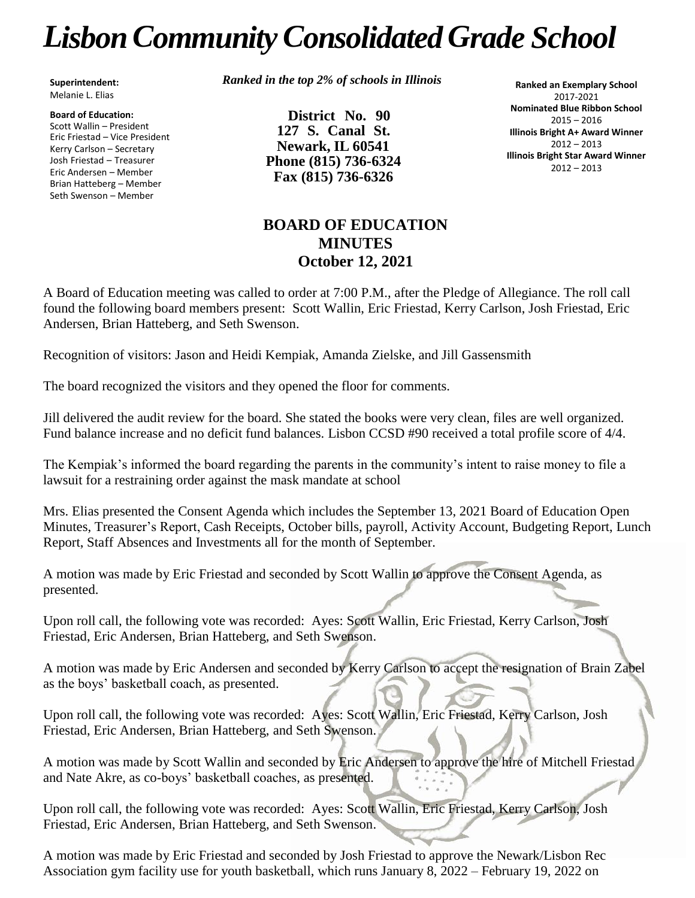# *LisbonCommunityConsolidated Grade School*

**Superintendent:** Melanie L. Elias

**Board of Education:** Scott Wallin – President Eric Friestad – Vice President Kerry Carlson – Secretary Josh Friestad – Treasurer Eric Andersen – Member Brian Hatteberg – Member Seth Swenson – Member

*Ranked in the top 2% of schools in Illinois*

**District No. 90 127 S. Canal St. Newark, IL 60541 Phone (815) 736-6324 Fax (815) 736-6326**

**Ranked an Exemplary School** 2017-2021 **Nominated Blue Ribbon School** 2015 – 2016 **Illinois Bright A+ Award Winner** 2012 – 2013 **Illinois Bright Star Award Winner** 2012 – 2013

## **BOARD OF EDUCATION MINUTES October 12, 2021**

A Board of Education meeting was called to order at 7:00 P.M., after the Pledge of Allegiance. The roll call found the following board members present: Scott Wallin, Eric Friestad, Kerry Carlson, Josh Friestad, Eric Andersen, Brian Hatteberg, and Seth Swenson.

Recognition of visitors: Jason and Heidi Kempiak, Amanda Zielske, and Jill Gassensmith

The board recognized the visitors and they opened the floor for comments.

Jill delivered the audit review for the board. She stated the books were very clean, files are well organized. Fund balance increase and no deficit fund balances. Lisbon CCSD #90 received a total profile score of 4/4.

The Kempiak's informed the board regarding the parents in the community's intent to raise money to file a lawsuit for a restraining order against the mask mandate at school

Mrs. Elias presented the Consent Agenda which includes the September 13, 2021 Board of Education Open Minutes, Treasurer's Report, Cash Receipts, October bills, payroll, Activity Account, Budgeting Report, Lunch Report, Staff Absences and Investments all for the month of September.

A motion was made by Eric Friestad and seconded by Scott Wallin to approve the Consent Agenda, as presented.

Upon roll call, the following vote was recorded: Ayes: Scott Wallin, Eric Friestad, Kerry Carlson, Josh Friestad, Eric Andersen, Brian Hatteberg, and Seth Swenson.

A motion was made by Eric Andersen and seconded by Kerry Carlson to accept the resignation of Brain Zabel as the boys' basketball coach, as presented.

Upon roll call, the following vote was recorded: Ayes: Scott Wallin, Eric Friestad, Kerry Carlson, Josh Friestad, Eric Andersen, Brian Hatteberg, and Seth Swenson.

A motion was made by Scott Wallin and seconded by Eric Andersen to approve the hire of Mitchell Friestad and Nate Akre, as co-boys' basketball coaches, as presented.

Upon roll call, the following vote was recorded: Ayes: Scott Wallin, Eric Friestad, Kerry Carlson, Josh Friestad, Eric Andersen, Brian Hatteberg, and Seth Swenson.

A motion was made by Eric Friestad and seconded by Josh Friestad to approve the Newark/Lisbon Rec Association gym facility use for youth basketball, which runs January 8, 2022 – February 19, 2022 on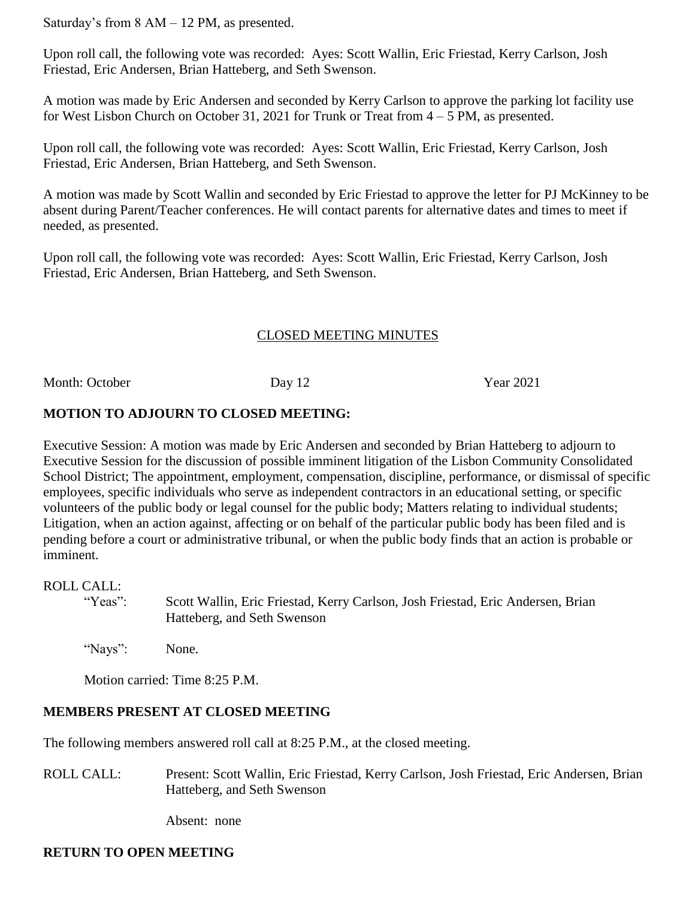Saturday's from 8 AM – 12 PM, as presented.

Upon roll call, the following vote was recorded: Ayes: Scott Wallin, Eric Friestad, Kerry Carlson, Josh Friestad, Eric Andersen, Brian Hatteberg, and Seth Swenson.

A motion was made by Eric Andersen and seconded by Kerry Carlson to approve the parking lot facility use for West Lisbon Church on October 31, 2021 for Trunk or Treat from 4 – 5 PM, as presented.

Upon roll call, the following vote was recorded: Ayes: Scott Wallin, Eric Friestad, Kerry Carlson, Josh Friestad, Eric Andersen, Brian Hatteberg, and Seth Swenson.

A motion was made by Scott Wallin and seconded by Eric Friestad to approve the letter for PJ McKinney to be absent during Parent/Teacher conferences. He will contact parents for alternative dates and times to meet if needed, as presented.

Upon roll call, the following vote was recorded: Ayes: Scott Wallin, Eric Friestad, Kerry Carlson, Josh Friestad, Eric Andersen, Brian Hatteberg, and Seth Swenson.

### CLOSED MEETING MINUTES

Month: October Day 12 Year 2021

#### **MOTION TO ADJOURN TO CLOSED MEETING:**

Executive Session: A motion was made by Eric Andersen and seconded by Brian Hatteberg to adjourn to Executive Session for the discussion of possible imminent litigation of the Lisbon Community Consolidated School District; The appointment, employment, compensation, discipline, performance, or dismissal of specific employees, specific individuals who serve as independent contractors in an educational setting, or specific volunteers of the public body or legal counsel for the public body; Matters relating to individual students; Litigation, when an action against, affecting or on behalf of the particular public body has been filed and is pending before a court or administrative tribunal, or when the public body finds that an action is probable or imminent.

#### ROLL CALL:

"Yeas": Scott Wallin, Eric Friestad, Kerry Carlson, Josh Friestad, Eric Andersen, Brian Hatteberg, and Seth Swenson

"Nays": None.

Motion carried: Time 8:25 P.M.

## **MEMBERS PRESENT AT CLOSED MEETING**

The following members answered roll call at 8:25 P.M., at the closed meeting.

ROLL CALL: Present: Scott Wallin, Eric Friestad, Kerry Carlson, Josh Friestad, Eric Andersen, Brian Hatteberg, and Seth Swenson

Absent: none

#### **RETURN TO OPEN MEETING**